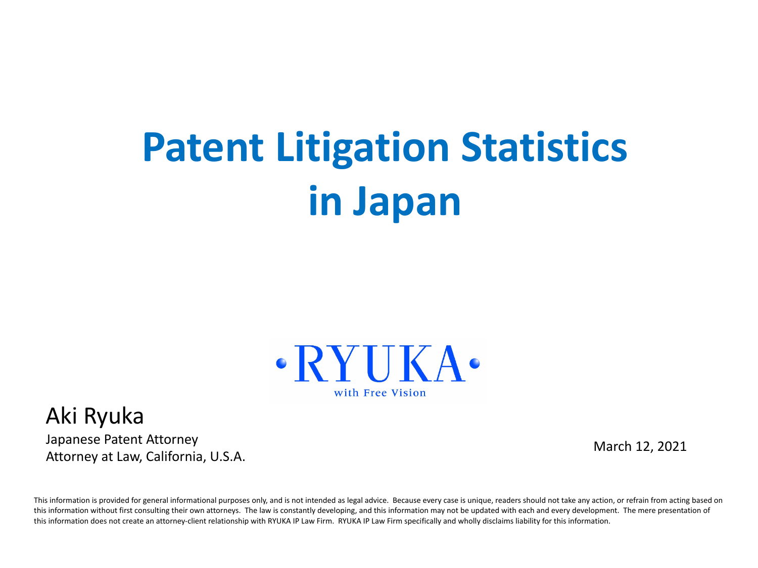# **Patent Litigation Statistics in Japan**



#### Aki Ryuka

Japanese Patent Attorney Attorney at Law, California, U.S.A.

March 12, 2021

This information is provided for general informational purposes only, and is not intended as legal advice. Because every case is unique, readers should not take any action, or refrain from acting based on this information without first consulting their own attorneys. The law is constantly developing, and this information may not be updated with each and every development. The mere presentation of this information does not create an attorney-client relationship with RYUKA IP Law Firm. RYUKA IP Law Firm specifically and wholly disclaims liability for this information.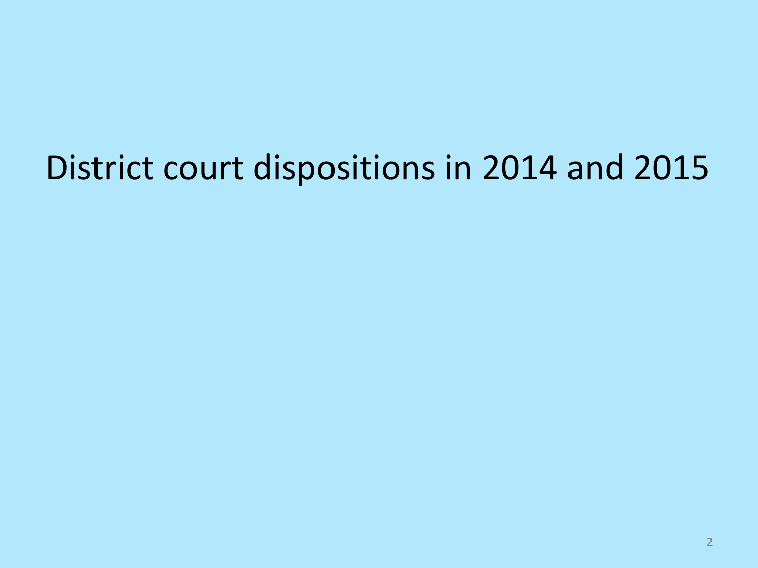## District court dispositions in 2014 and 2015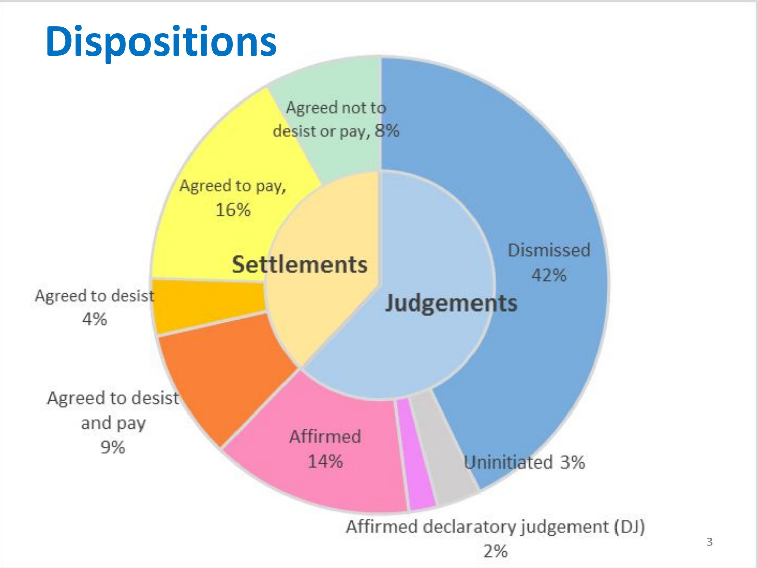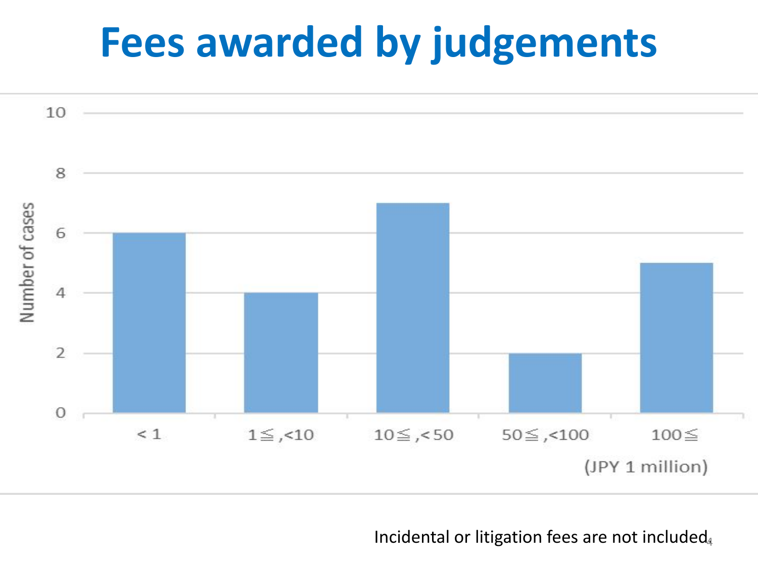# **Fees awarded by judgements**



Incidental or litigation fees are not included.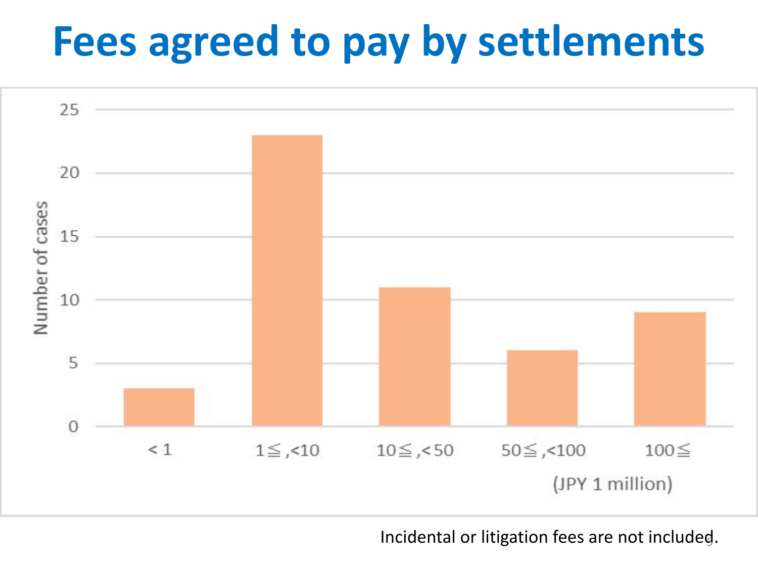# **Fees agreed to pay by settlements**



Incidental or litigation fees are not included. <sup>5</sup>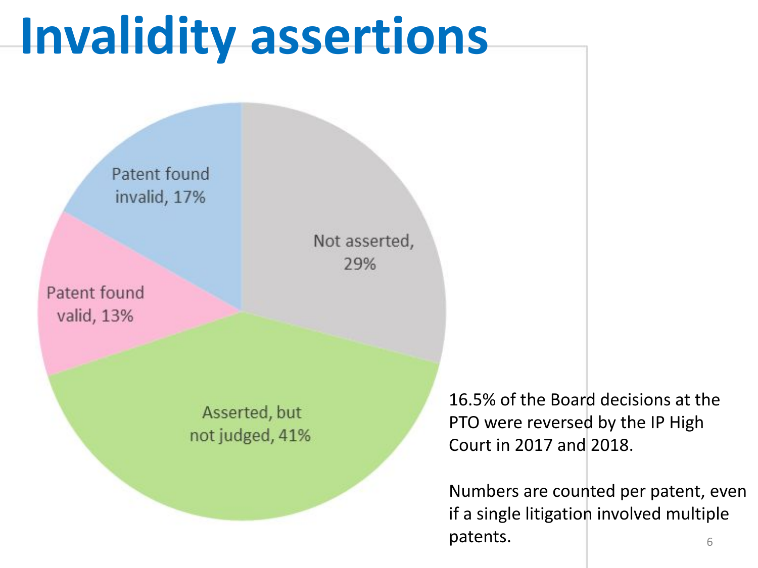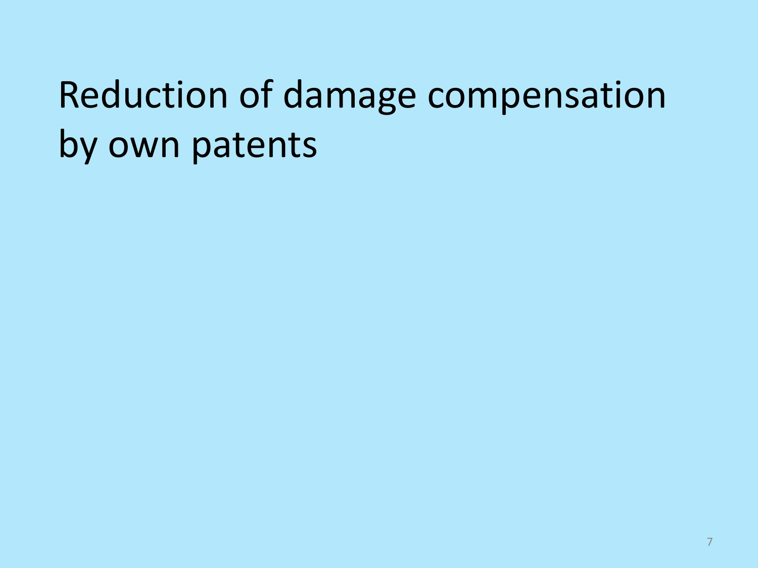## Reduction of damage compensation by own patents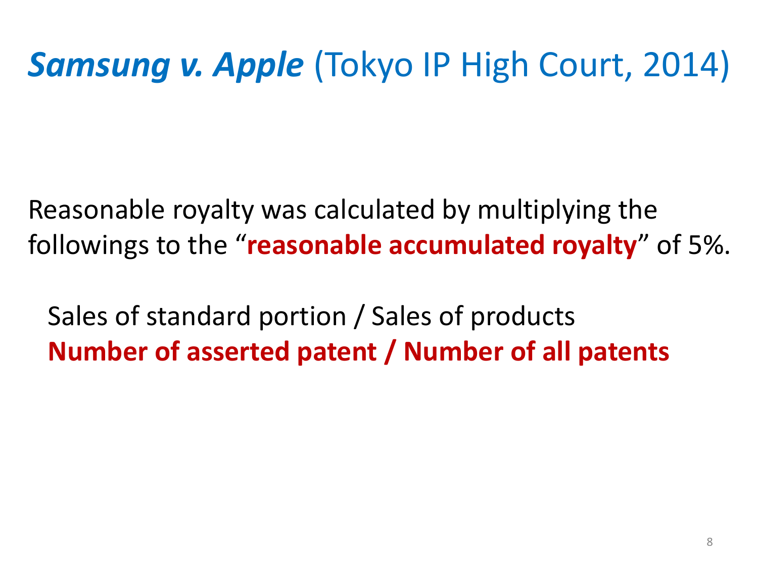## *Samsung v. Apple* (Tokyo IP High Court, 2014)

Reasonable royalty was calculated by multiplying the followings to the "**reasonable accumulated royalty**" of 5%.

 Sales of standard portion / Sales of products **Number of asserted patent / Number of all patents**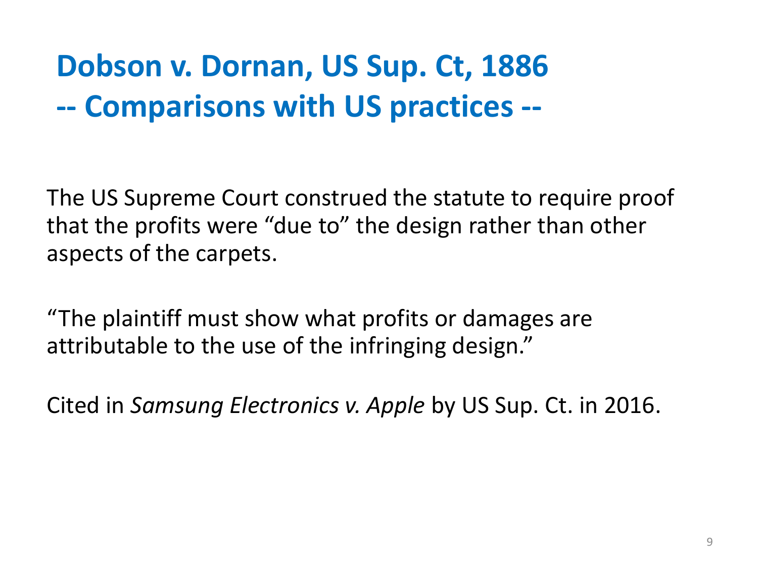### **Dobson v. Dornan, US Sup. Ct, 1886 -- Comparisons with US practices --**

The US Supreme Court construed the statute to require proof that the profits were "due to" the design rather than other aspects of the carpets.

"The plaintiff must show what profits or damages are attributable to the use of the infringing design."

Cited in *Samsung Electronics v. Apple* by US Sup. Ct. in 2016.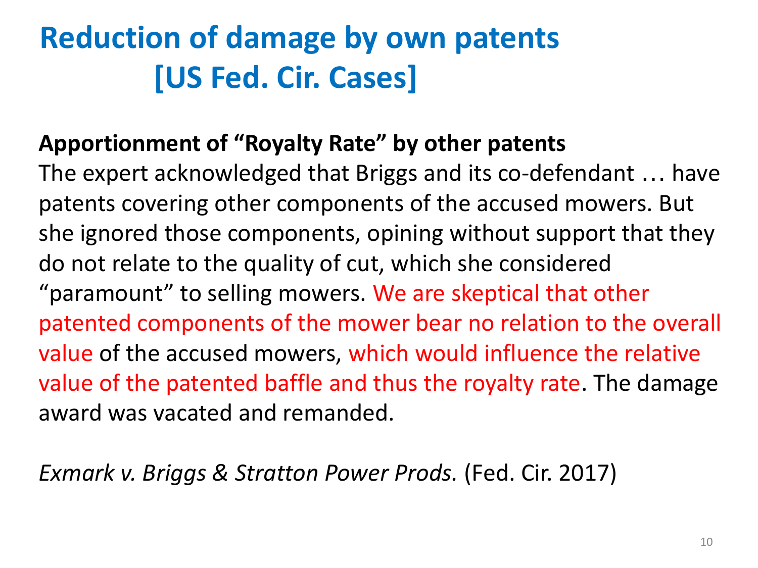### **Reduction of damage by own patents [US Fed. Cir. Cases]**

#### **Apportionment of "Royalty Rate" by other patents**

The expert acknowledged that Briggs and its co-defendant … have patents covering other components of the accused mowers. But she ignored those components, opining without support that they do not relate to the quality of cut, which she considered "paramount" to selling mowers. We are skeptical that other patented components of the mower bear no relation to the overall value of the accused mowers, which would influence the relative value of the patented baffle and thus the royalty rate. The damage award was vacated and remanded.

*Exmark v. Briggs & Stratton Power Prods.* (Fed. Cir. 2017)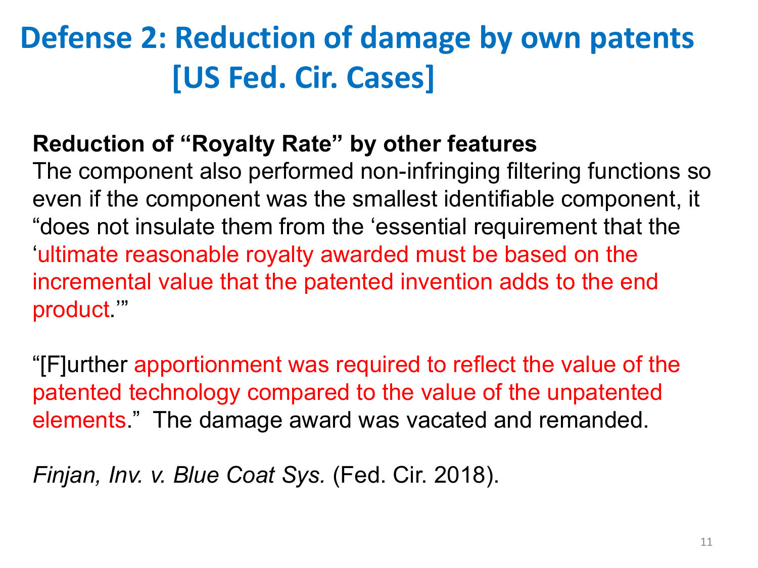### **Defense 2: Reduction of damage by own patents [US Fed. Cir. Cases]**

#### **Reduction of "Royalty Rate" by other features**

The component also performed non-infringing filtering functions so even if the component was the smallest identifiable component, it "does not insulate them from the 'essential requirement that the 'ultimate reasonable royalty awarded must be based on the incremental value that the patented invention adds to the end product.'"

"[F]urther apportionment was required to reflect the value of the patented technology compared to the value of the unpatented elements." The damage award was vacated and remanded.

*Finjan, Inv. v. Blue Coat Sys.* (Fed. Cir. 2018).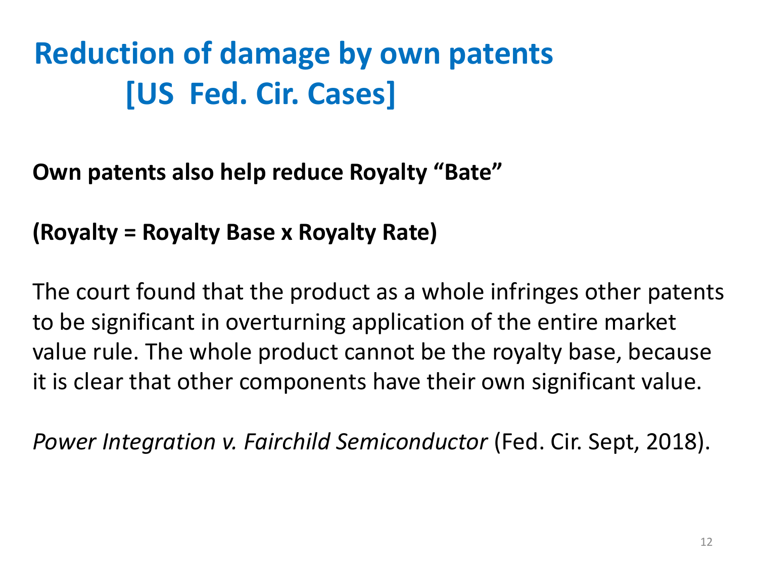## **Reduction of damage by own patents [US Fed. Cir. Cases]**

#### **Own patents also help reduce Royalty "Bate"**

#### **(Royalty = Royalty Base x Royalty Rate)**

The court found that the product as a whole infringes other patents to be significant in overturning application of the entire market value rule. The whole product cannot be the royalty base, because it is clear that other components have their own significant value.

*Power Integration v. Fairchild Semiconductor* (Fed. Cir. Sept, 2018).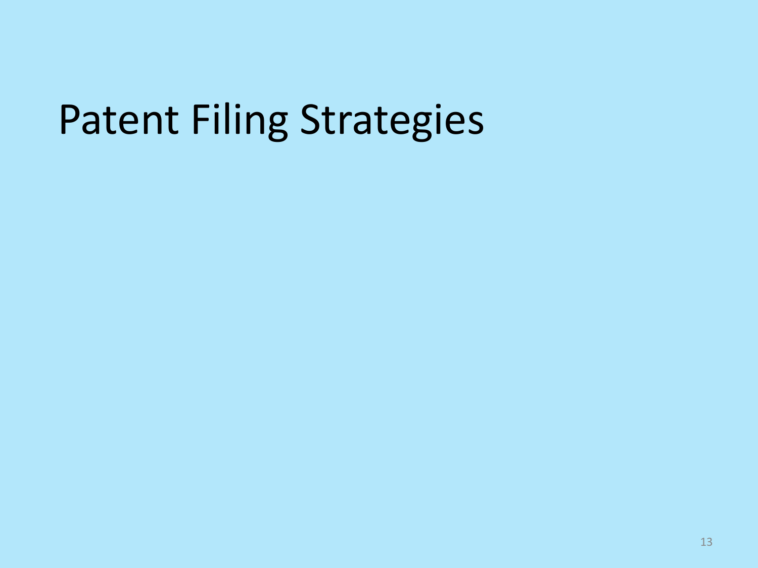# Patent Filing Strategies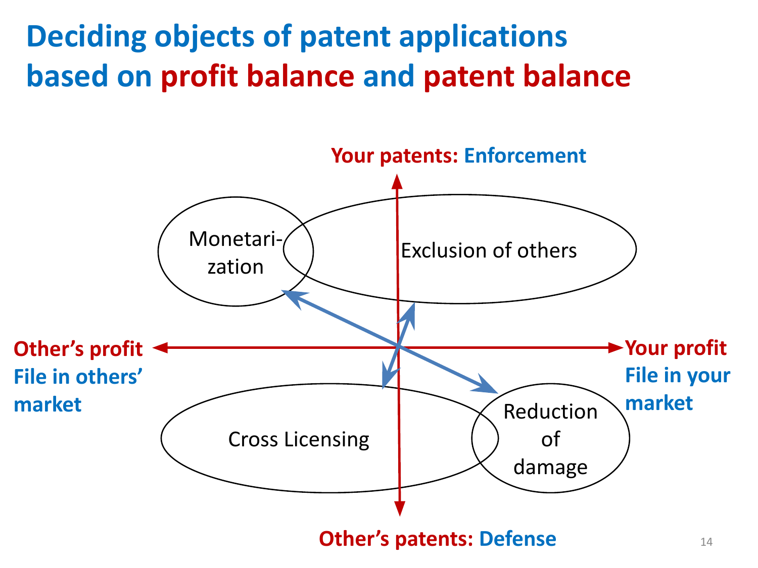**Deciding objects of patent applications based on profit balance and patent balance**

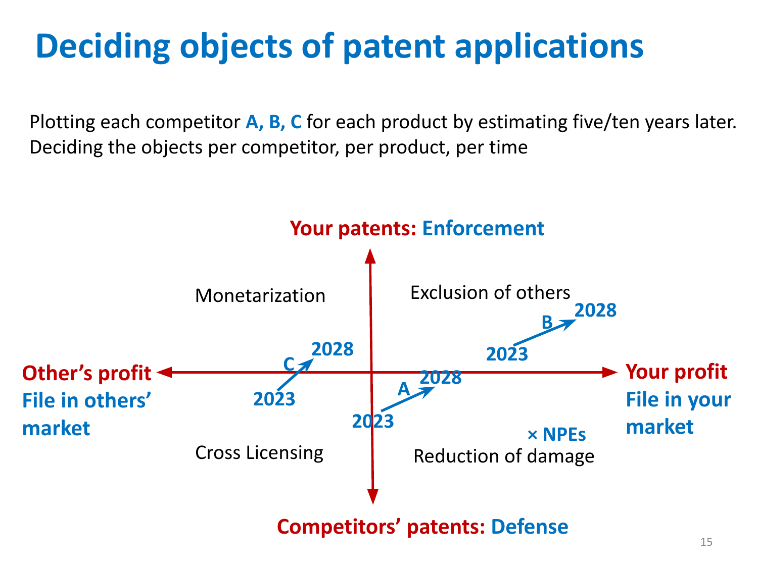## **Deciding objects of patent applications**

Plotting each competitor **A, B, C** for each product by estimating five/ten years later. Deciding the objects per competitor, per product, per time